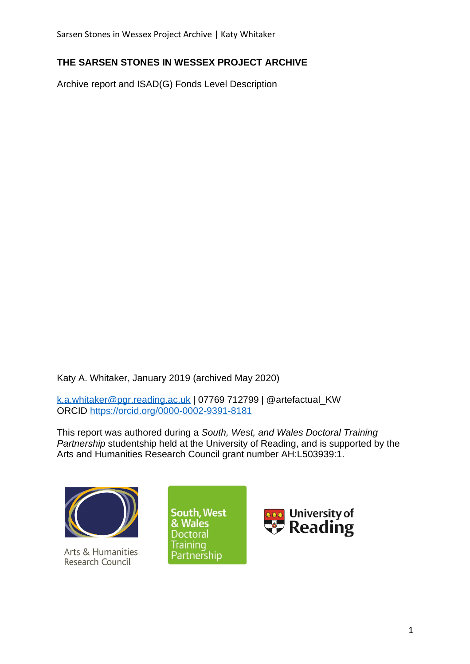## **THE SARSEN STONES IN WESSEX PROJECT ARCHIVE**

Archive report and ISAD(G) Fonds Level Description

Katy A. Whitaker, January 2019 (archived May 2020)

[k.a.whitaker@pgr.reading.ac.uk](mailto:k.a.whitaker@pgr.reading.ac.uk) | 07769 712799 | @artefactual\_KW ORCID<https://orcid.org/0000-0002-9391-8181>

This report was authored during a *South, West, and Wales Doctoral Training Partnership* studentship held at the University of Reading, and is supported by the Arts and Humanities Research Council grant number AH:L503939:1.



Arts & Humanities Research Council



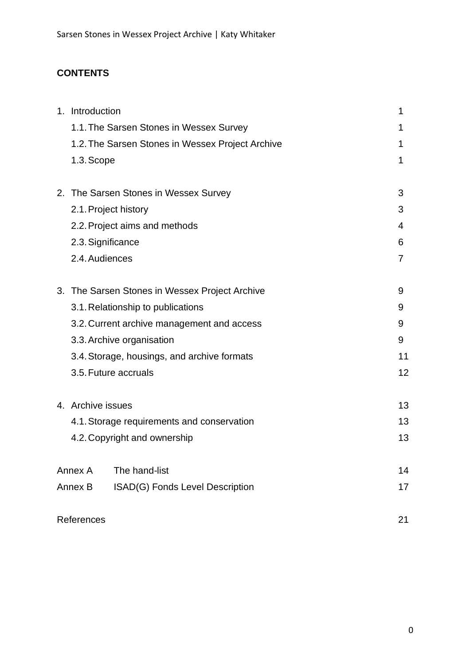# **CONTENTS**

| 1. Introduction      |                                                  | 1  |
|----------------------|--------------------------------------------------|----|
|                      | 1.1. The Sarsen Stones in Wessex Survey          |    |
|                      | 1.2. The Sarsen Stones in Wessex Project Archive | 1  |
| 1.3. Scope           |                                                  | 1  |
|                      | 2. The Sarsen Stones in Wessex Survey            | 3  |
| 2.1. Project history |                                                  | 3  |
|                      | 2.2. Project aims and methods                    | 4  |
| 2.3. Significance    |                                                  | 6  |
| 2.4. Audiences       |                                                  | 7  |
|                      | 3. The Sarsen Stones in Wessex Project Archive   | 9  |
|                      | 3.1. Relationship to publications                | 9  |
|                      | 3.2. Current archive management and access       | 9  |
|                      | 3.3. Archive organisation                        | 9  |
|                      | 3.4. Storage, housings, and archive formats      | 11 |
| 3.5. Future accruals |                                                  | 12 |
| 4. Archive issues    |                                                  | 13 |
|                      | 4.1. Storage requirements and conservation       | 13 |
|                      | 4.2. Copyright and ownership                     | 13 |
| Annex A              | The hand-list                                    | 14 |
| Annex B              | ISAD(G) Fonds Level Description                  | 17 |
| References           |                                                  | 21 |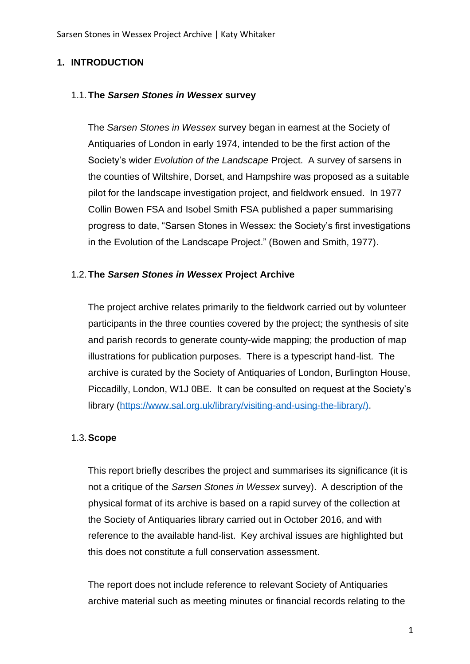### **1. INTRODUCTION**

#### 1.1.**The** *Sarsen Stones in Wessex* **survey**

The *Sarsen Stones in Wessex* survey began in earnest at the Society of Antiquaries of London in early 1974, intended to be the first action of the Society's wider *Evolution of the Landscape* Project. A survey of sarsens in the counties of Wiltshire, Dorset, and Hampshire was proposed as a suitable pilot for the landscape investigation project, and fieldwork ensued. In 1977 Collin Bowen FSA and Isobel Smith FSA published a paper summarising progress to date, "Sarsen Stones in Wessex: the Society's first investigations in the Evolution of the Landscape Project." (Bowen and Smith, 1977).

#### 1.2.**The** *Sarsen Stones in Wessex* **Project Archive**

The project archive relates primarily to the fieldwork carried out by volunteer participants in the three counties covered by the project; the synthesis of site and parish records to generate county-wide mapping; the production of map illustrations for publication purposes. There is a typescript hand-list. The archive is curated by the Society of Antiquaries of London, Burlington House, Piccadilly, London, W1J 0BE. It can be consulted on request at the Society's library [\(https://www.sal.org.uk/library/visiting-and-using-the-library/\).](https://www.sal.org.uk/library/visiting-and-using-the-library/))

#### 1.3.**Scope**

This report briefly describes the project and summarises its significance (it is not a critique of the *Sarsen Stones in Wessex* survey). A description of the physical format of its archive is based on a rapid survey of the collection at the Society of Antiquaries library carried out in October 2016, and with reference to the available hand-list. Key archival issues are highlighted but this does not constitute a full conservation assessment.

The report does not include reference to relevant Society of Antiquaries archive material such as meeting minutes or financial records relating to the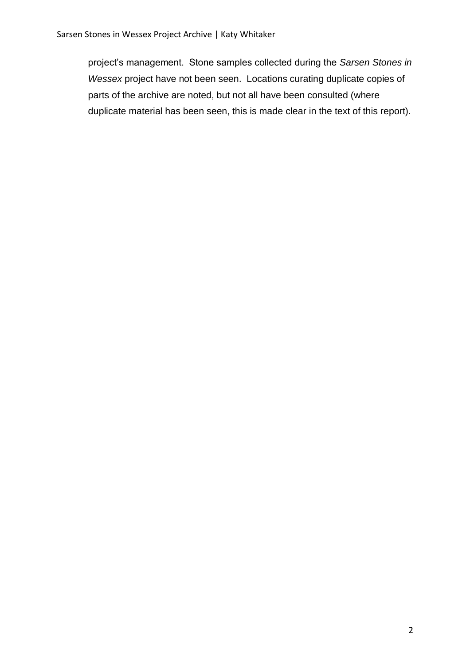project's management. Stone samples collected during the *Sarsen Stones in Wessex* project have not been seen. Locations curating duplicate copies of parts of the archive are noted, but not all have been consulted (where duplicate material has been seen, this is made clear in the text of this report).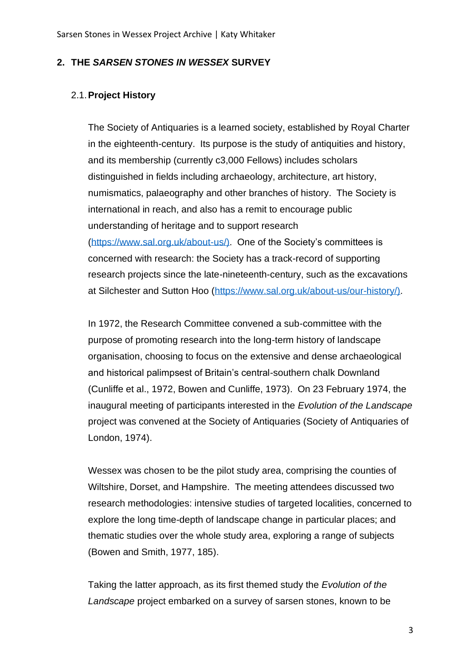#### **2. THE** *SARSEN STONES IN WESSEX* **SURVEY**

#### 2.1.**Project History**

The Society of Antiquaries is a learned society, established by Royal Charter in the eighteenth-century. Its purpose is the study of antiquities and history, and its membership (currently c3,000 Fellows) includes scholars distinguished in fields including archaeology, architecture, art history, numismatics, palaeography and other branches of history. The Society is international in reach, and also has a remit to encourage public understanding of heritage and to support research [\(https://www.sal.org.uk/about-us/\).](https://www.sal.org.uk/about-us/)) One of the Society's committees is concerned with research: the Society has a track-record of supporting research projects since the late-nineteenth-century, such as the excavations at Silchester and Sutton Hoo [\(https://www.sal.org.uk/about-us/our-history/\).](https://www.sal.org.uk/about-us/our-history/))

In 1972, the Research Committee convened a sub-committee with the purpose of promoting research into the long-term history of landscape organisation, choosing to focus on the extensive and dense archaeological and historical palimpsest of Britain's central-southern chalk Downland (Cunliffe et al., 1972, Bowen and Cunliffe, 1973). On 23 February 1974, the inaugural meeting of participants interested in the *Evolution of the Landscape* project was convened at the Society of Antiquaries (Society of Antiquaries of London, 1974).

Wessex was chosen to be the pilot study area, comprising the counties of Wiltshire, Dorset, and Hampshire. The meeting attendees discussed two research methodologies: intensive studies of targeted localities, concerned to explore the long time-depth of landscape change in particular places; and thematic studies over the whole study area, exploring a range of subjects (Bowen and Smith, 1977, 185).

Taking the latter approach, as its first themed study the *Evolution of the Landscape* project embarked on a survey of sarsen stones, known to be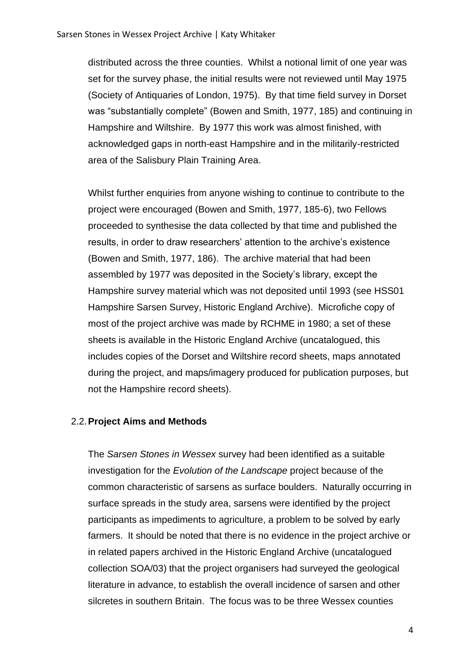distributed across the three counties. Whilst a notional limit of one year was set for the survey phase, the initial results were not reviewed until May 1975 (Society of Antiquaries of London, 1975). By that time field survey in Dorset was "substantially complete" (Bowen and Smith, 1977, 185) and continuing in Hampshire and Wiltshire. By 1977 this work was almost finished, with acknowledged gaps in north-east Hampshire and in the militarily-restricted area of the Salisbury Plain Training Area.

Whilst further enquiries from anyone wishing to continue to contribute to the project were encouraged (Bowen and Smith, 1977, 185-6), two Fellows proceeded to synthesise the data collected by that time and published the results, in order to draw researchers' attention to the archive's existence (Bowen and Smith, 1977, 186). The archive material that had been assembled by 1977 was deposited in the Society's library, except the Hampshire survey material which was not deposited until 1993 (see HSS01 Hampshire Sarsen Survey, Historic England Archive). Microfiche copy of most of the project archive was made by RCHME in 1980; a set of these sheets is available in the Historic England Archive (uncatalogued, this includes copies of the Dorset and Wiltshire record sheets, maps annotated during the project, and maps/imagery produced for publication purposes, but not the Hampshire record sheets).

#### 2.2.**Project Aims and Methods**

The *Sarsen Stones in Wessex* survey had been identified as a suitable investigation for the *Evolution of the Landscape* project because of the common characteristic of sarsens as surface boulders. Naturally occurring in surface spreads in the study area, sarsens were identified by the project participants as impediments to agriculture, a problem to be solved by early farmers. It should be noted that there is no evidence in the project archive or in related papers archived in the Historic England Archive (uncatalogued collection SOA/03) that the project organisers had surveyed the geological literature in advance, to establish the overall incidence of sarsen and other silcretes in southern Britain. The focus was to be three Wessex counties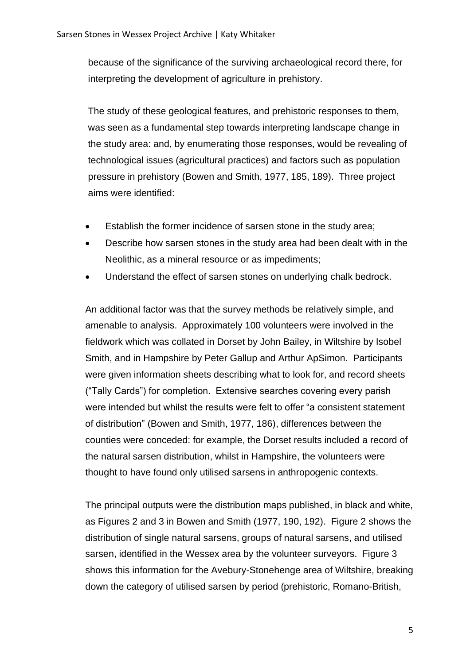because of the significance of the surviving archaeological record there, for interpreting the development of agriculture in prehistory.

The study of these geological features, and prehistoric responses to them, was seen as a fundamental step towards interpreting landscape change in the study area: and, by enumerating those responses, would be revealing of technological issues (agricultural practices) and factors such as population pressure in prehistory (Bowen and Smith, 1977, 185, 189). Three project aims were identified:

- Establish the former incidence of sarsen stone in the study area;
- Describe how sarsen stones in the study area had been dealt with in the Neolithic, as a mineral resource or as impediments;
- Understand the effect of sarsen stones on underlying chalk bedrock.

An additional factor was that the survey methods be relatively simple, and amenable to analysis. Approximately 100 volunteers were involved in the fieldwork which was collated in Dorset by John Bailey, in Wiltshire by Isobel Smith, and in Hampshire by Peter Gallup and Arthur ApSimon. Participants were given information sheets describing what to look for, and record sheets ("Tally Cards") for completion. Extensive searches covering every parish were intended but whilst the results were felt to offer "a consistent statement of distribution" (Bowen and Smith, 1977, 186), differences between the counties were conceded: for example, the Dorset results included a record of the natural sarsen distribution, whilst in Hampshire, the volunteers were thought to have found only utilised sarsens in anthropogenic contexts.

The principal outputs were the distribution maps published, in black and white, as Figures 2 and 3 in Bowen and Smith (1977, 190, 192). Figure 2 shows the distribution of single natural sarsens, groups of natural sarsens, and utilised sarsen, identified in the Wessex area by the volunteer surveyors. Figure 3 shows this information for the Avebury-Stonehenge area of Wiltshire, breaking down the category of utilised sarsen by period (prehistoric, Romano-British,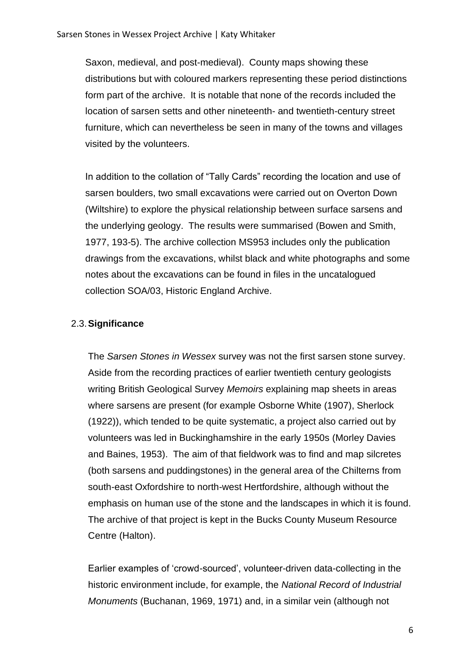Saxon, medieval, and post-medieval). County maps showing these distributions but with coloured markers representing these period distinctions form part of the archive. It is notable that none of the records included the location of sarsen setts and other nineteenth- and twentieth-century street furniture, which can nevertheless be seen in many of the towns and villages visited by the volunteers.

In addition to the collation of "Tally Cards" recording the location and use of sarsen boulders, two small excavations were carried out on Overton Down (Wiltshire) to explore the physical relationship between surface sarsens and the underlying geology. The results were summarised (Bowen and Smith, 1977, 193-5). The archive collection MS953 includes only the publication drawings from the excavations, whilst black and white photographs and some notes about the excavations can be found in files in the uncatalogued collection SOA/03, Historic England Archive.

## 2.3.**Significance**

The *Sarsen Stones in Wessex* survey was not the first sarsen stone survey. Aside from the recording practices of earlier twentieth century geologists writing British Geological Survey *Memoirs* explaining map sheets in areas where sarsens are present (for example Osborne White (1907), Sherlock (1922)), which tended to be quite systematic, a project also carried out by volunteers was led in Buckinghamshire in the early 1950s (Morley Davies and Baines, 1953). The aim of that fieldwork was to find and map silcretes (both sarsens and puddingstones) in the general area of the Chilterns from south-east Oxfordshire to north-west Hertfordshire, although without the emphasis on human use of the stone and the landscapes in which it is found. The archive of that project is kept in the Bucks County Museum Resource Centre (Halton).

Earlier examples of 'crowd-sourced', volunteer-driven data-collecting in the historic environment include, for example, the *National Record of Industrial Monuments* (Buchanan, 1969, 1971) and, in a similar vein (although not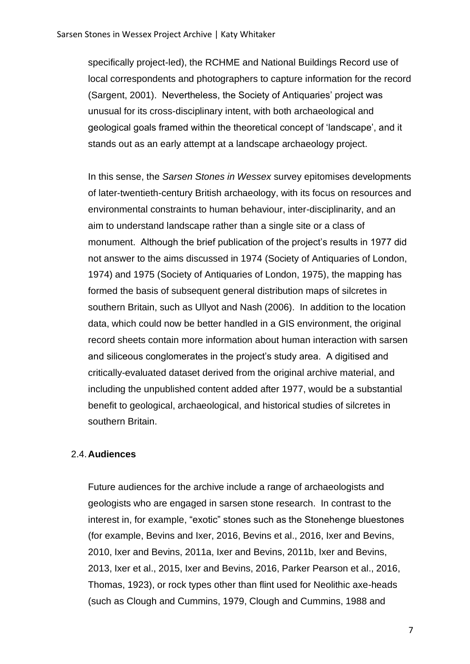specifically project-led), the RCHME and National Buildings Record use of local correspondents and photographers to capture information for the record (Sargent, 2001). Nevertheless, the Society of Antiquaries' project was unusual for its cross-disciplinary intent, with both archaeological and geological goals framed within the theoretical concept of 'landscape', and it stands out as an early attempt at a landscape archaeology project.

In this sense, the *Sarsen Stones in Wessex* survey epitomises developments of later-twentieth-century British archaeology, with its focus on resources and environmental constraints to human behaviour, inter-disciplinarity, and an aim to understand landscape rather than a single site or a class of monument. Although the brief publication of the project's results in 1977 did not answer to the aims discussed in 1974 (Society of Antiquaries of London, 1974) and 1975 (Society of Antiquaries of London, 1975), the mapping has formed the basis of subsequent general distribution maps of silcretes in southern Britain, such as Ullyot and Nash (2006). In addition to the location data, which could now be better handled in a GIS environment, the original record sheets contain more information about human interaction with sarsen and siliceous conglomerates in the project's study area. A digitised and critically-evaluated dataset derived from the original archive material, and including the unpublished content added after 1977, would be a substantial benefit to geological, archaeological, and historical studies of silcretes in southern Britain.

#### 2.4.**Audiences**

Future audiences for the archive include a range of archaeologists and geologists who are engaged in sarsen stone research. In contrast to the interest in, for example, "exotic" stones such as the Stonehenge bluestones (for example, Bevins and Ixer, 2016, Bevins et al., 2016, Ixer and Bevins, 2010, Ixer and Bevins, 2011a, Ixer and Bevins, 2011b, Ixer and Bevins, 2013, Ixer et al., 2015, Ixer and Bevins, 2016, Parker Pearson et al., 2016, Thomas, 1923), or rock types other than flint used for Neolithic axe-heads (such as Clough and Cummins, 1979, Clough and Cummins, 1988 and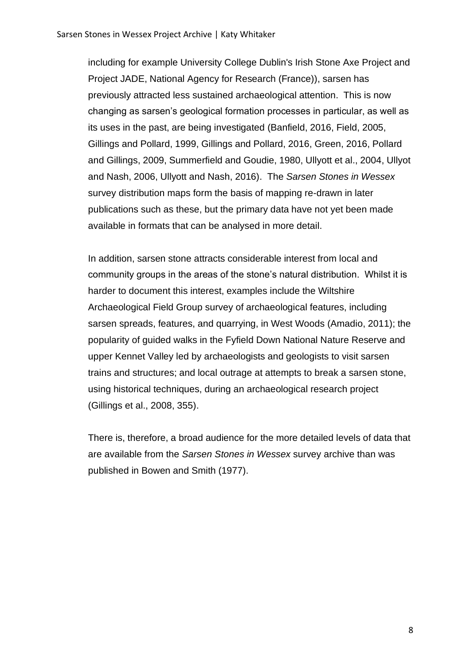including for example University College Dublin's Irish Stone Axe Project and Project JADE, National Agency for Research (France)), sarsen has previously attracted less sustained archaeological attention. This is now changing as sarsen's geological formation processes in particular, as well as its uses in the past, are being investigated (Banfield, 2016, Field, 2005, Gillings and Pollard, 1999, Gillings and Pollard, 2016, Green, 2016, Pollard and Gillings, 2009, Summerfield and Goudie, 1980, Ullyott et al., 2004, Ullyot and Nash, 2006, Ullyott and Nash, 2016). The *Sarsen Stones in Wessex* survey distribution maps form the basis of mapping re-drawn in later publications such as these, but the primary data have not yet been made available in formats that can be analysed in more detail.

In addition, sarsen stone attracts considerable interest from local and community groups in the areas of the stone's natural distribution. Whilst it is harder to document this interest, examples include the Wiltshire Archaeological Field Group survey of archaeological features, including sarsen spreads, features, and quarrying, in West Woods (Amadio, 2011); the popularity of guided walks in the Fyfield Down National Nature Reserve and upper Kennet Valley led by archaeologists and geologists to visit sarsen trains and structures; and local outrage at attempts to break a sarsen stone, using historical techniques, during an archaeological research project (Gillings et al., 2008, 355).

There is, therefore, a broad audience for the more detailed levels of data that are available from the *Sarsen Stones in Wessex* survey archive than was published in Bowen and Smith (1977).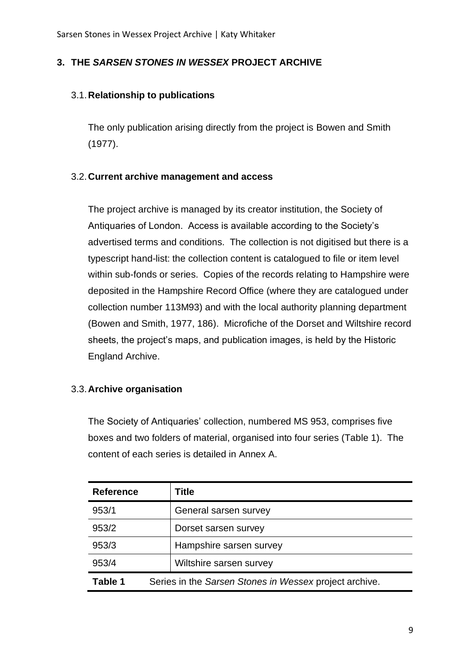## **3. THE** *SARSEN STONES IN WESSEX* **PROJECT ARCHIVE**

## 3.1.**Relationship to publications**

The only publication arising directly from the project is Bowen and Smith (1977).

## 3.2.**Current archive management and access**

The project archive is managed by its creator institution, the Society of Antiquaries of London. Access is available according to the Society's advertised terms and conditions. The collection is not digitised but there is a typescript hand-list: the collection content is catalogued to file or item level within sub-fonds or series. Copies of the records relating to Hampshire were deposited in the Hampshire Record Office (where they are catalogued under collection number 113M93) and with the local authority planning department (Bowen and Smith, 1977, 186). Microfiche of the Dorset and Wiltshire record sheets, the project's maps, and publication images, is held by the Historic England Archive.

## 3.3.**Archive organisation**

The Society of Antiquaries' collection, numbered MS 953, comprises five boxes and two folders of material, organised into four series (Table 1). The content of each series is detailed in Annex A.

| <b>Reference</b> | Title                                                  |  |
|------------------|--------------------------------------------------------|--|
| 953/1            | General sarsen survey                                  |  |
| 953/2            | Dorset sarsen survey                                   |  |
| 953/3            | Hampshire sarsen survey                                |  |
| 953/4            | Wiltshire sarsen survey                                |  |
| Table 1          | Series in the Sarsen Stones in Wessex project archive. |  |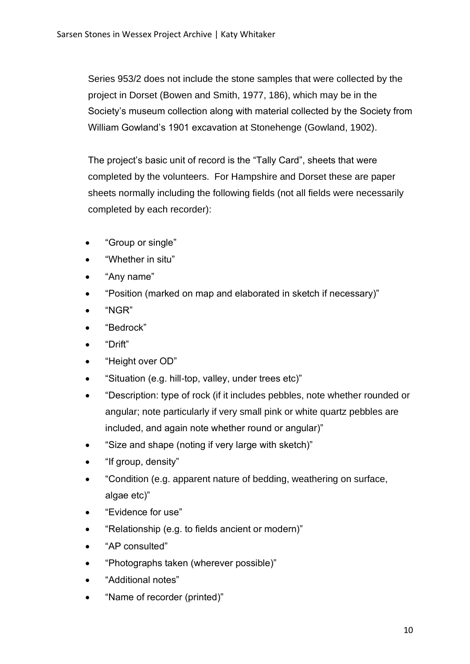Series 953/2 does not include the stone samples that were collected by the project in Dorset (Bowen and Smith, 1977, 186), which may be in the Society's museum collection along with material collected by the Society from William Gowland's 1901 excavation at Stonehenge (Gowland, 1902).

The project's basic unit of record is the "Tally Card", sheets that were completed by the volunteers. For Hampshire and Dorset these are paper sheets normally including the following fields (not all fields were necessarily completed by each recorder):

- "Group or single"
- "Whether in situ"
- "Any name"
- "Position (marked on map and elaborated in sketch if necessary)"
- "NGR"
- "Bedrock"
- "Drift"
- "Height over OD"
- "Situation (e.g. hill-top, valley, under trees etc)"
- "Description: type of rock (if it includes pebbles, note whether rounded or angular; note particularly if very small pink or white quartz pebbles are included, and again note whether round or angular)"
- "Size and shape (noting if very large with sketch)"
- "If group, density"
- "Condition (e.g. apparent nature of bedding, weathering on surface, algae etc)"
- "Evidence for use"
- "Relationship (e.g. to fields ancient or modern)"
- "AP consulted"
- "Photographs taken (wherever possible)"
- "Additional notes"
- "Name of recorder (printed)"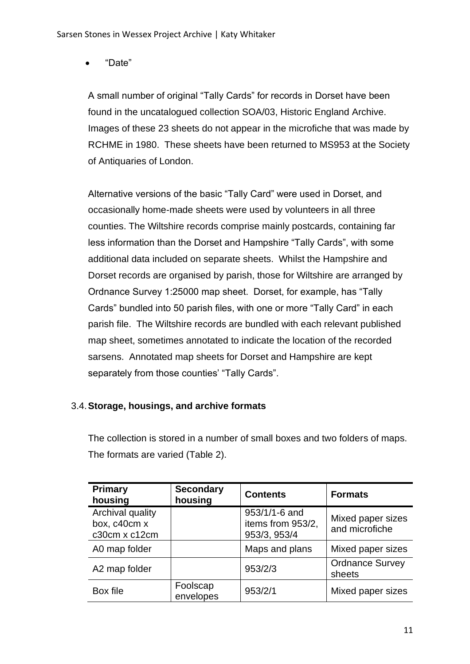• "Date"

A small number of original "Tally Cards" for records in Dorset have been found in the uncatalogued collection SOA/03, Historic England Archive. Images of these 23 sheets do not appear in the microfiche that was made by RCHME in 1980. These sheets have been returned to MS953 at the Society of Antiquaries of London.

Alternative versions of the basic "Tally Card" were used in Dorset, and occasionally home-made sheets were used by volunteers in all three counties. The Wiltshire records comprise mainly postcards, containing far less information than the Dorset and Hampshire "Tally Cards", with some additional data included on separate sheets. Whilst the Hampshire and Dorset records are organised by parish, those for Wiltshire are arranged by Ordnance Survey 1:25000 map sheet. Dorset, for example, has "Tally Cards" bundled into 50 parish files, with one or more "Tally Card" in each parish file. The Wiltshire records are bundled with each relevant published map sheet, sometimes annotated to indicate the location of the recorded sarsens. Annotated map sheets for Dorset and Hampshire are kept separately from those counties' "Tally Cards".

## 3.4.**Storage, housings, and archive formats**

The collection is stored in a number of small boxes and two folders of maps. The formats are varied (Table 2).

| Primary<br>housing                                | <b>Secondary</b><br>housing | <b>Contents</b>                                    | <b>Formats</b>                      |
|---------------------------------------------------|-----------------------------|----------------------------------------------------|-------------------------------------|
| Archival quality<br>box, c40cm x<br>c30cm x c12cm |                             | 953/1/1-6 and<br>items from 953/2,<br>953/3, 953/4 | Mixed paper sizes<br>and microfiche |
| A0 map folder                                     |                             | Maps and plans                                     | Mixed paper sizes                   |
| A2 map folder                                     |                             | 953/2/3                                            | <b>Ordnance Survey</b><br>sheets    |
| Box file                                          | Foolscap<br>envelopes       | 953/2/1                                            | Mixed paper sizes                   |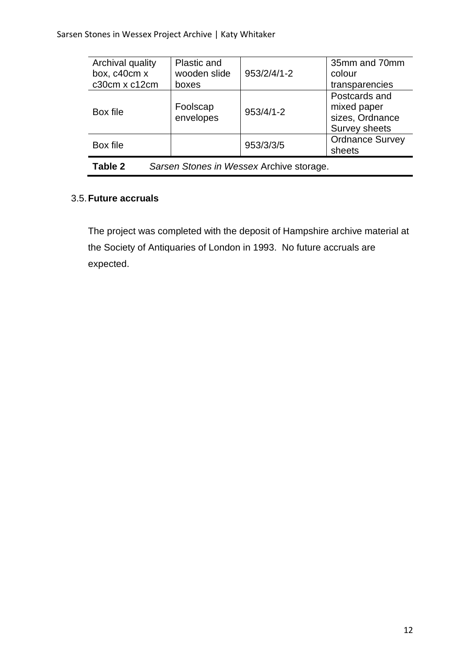| Archival quality<br>box, c40cm x                    | Plastic and<br>wooden slide | 953/2/4/1-2   | 35mm and 70mm<br>colour                                          |
|-----------------------------------------------------|-----------------------------|---------------|------------------------------------------------------------------|
| c30cm x c12cm                                       | boxes                       |               | transparencies                                                   |
| Box file                                            | Foolscap<br>envelopes       | $953/4/1 - 2$ | Postcards and<br>mixed paper<br>sizes, Ordnance<br>Survey sheets |
| Box file                                            |                             | 953/3/3/5     | <b>Ordnance Survey</b><br>sheets                                 |
| Table 2<br>Sarsen Stones in Wessex Archive storage. |                             |               |                                                                  |

## 3.5.**Future accruals**

The project was completed with the deposit of Hampshire archive material at the Society of Antiquaries of London in 1993. No future accruals are expected.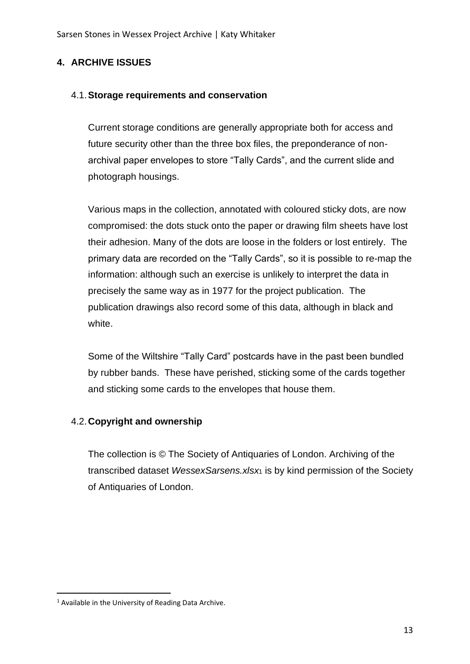## **4. ARCHIVE ISSUES**

#### 4.1.**Storage requirements and conservation**

Current storage conditions are generally appropriate both for access and future security other than the three box files, the preponderance of nonarchival paper envelopes to store "Tally Cards", and the current slide and photograph housings.

Various maps in the collection, annotated with coloured sticky dots, are now compromised: the dots stuck onto the paper or drawing film sheets have lost their adhesion. Many of the dots are loose in the folders or lost entirely. The primary data are recorded on the "Tally Cards", so it is possible to re-map the information: although such an exercise is unlikely to interpret the data in precisely the same way as in 1977 for the project publication. The publication drawings also record some of this data, although in black and white.

Some of the Wiltshire "Tally Card" postcards have in the past been bundled by rubber bands. These have perished, sticking some of the cards together and sticking some cards to the envelopes that house them.

## 4.2.**Copyright and ownership**

The collection is © The Society of Antiquaries of London. Archiving of the transcribed dataset *WessexSarsens.xlsx*<sup>1</sup> is by kind permission of the Society of Antiquaries of London.

<sup>1</sup> Available in the University of Reading Data Archive.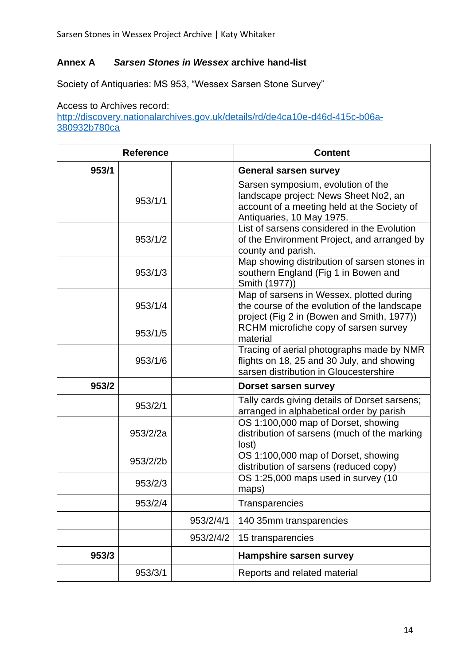## **Annex A** *Sarsen Stones in Wessex* **archive hand-list**

Society of Antiquaries: MS 953, "Wessex Sarsen Stone Survey"

Access to Archives record: [http://discovery.nationalarchives.gov.uk/details/rd/de4ca10e-d46d-415c-b06a-](http://discovery.nationalarchives.gov.uk/details/rd/de4ca10e-d46d-415c-b06a-380932b780ca)[380932b780ca](http://discovery.nationalarchives.gov.uk/details/rd/de4ca10e-d46d-415c-b06a-380932b780ca)

| <b>Reference</b> |          |           | <b>Content</b>                                                                                                                                          |
|------------------|----------|-----------|---------------------------------------------------------------------------------------------------------------------------------------------------------|
| 953/1            |          |           | <b>General sarsen survey</b>                                                                                                                            |
|                  | 953/1/1  |           | Sarsen symposium, evolution of the<br>landscape project: News Sheet No2, an<br>account of a meeting held at the Society of<br>Antiquaries, 10 May 1975. |
|                  | 953/1/2  |           | List of sarsens considered in the Evolution<br>of the Environment Project, and arranged by<br>county and parish.                                        |
|                  | 953/1/3  |           | Map showing distribution of sarsen stones in<br>southern England (Fig 1 in Bowen and<br>Smith (1977))                                                   |
|                  | 953/1/4  |           | Map of sarsens in Wessex, plotted during<br>the course of the evolution of the landscape<br>project (Fig 2 in (Bowen and Smith, 1977))                  |
|                  | 953/1/5  |           | RCHM microfiche copy of sarsen survey<br>material                                                                                                       |
|                  | 953/1/6  |           | Tracing of aerial photographs made by NMR<br>flights on 18, 25 and 30 July, and showing<br>sarsen distribution in Gloucestershire                       |
| 953/2            |          |           | Dorset sarsen survey                                                                                                                                    |
|                  | 953/2/1  |           | Tally cards giving details of Dorset sarsens;<br>arranged in alphabetical order by parish                                                               |
|                  | 953/2/2a |           | OS 1:100,000 map of Dorset, showing<br>distribution of sarsens (much of the marking<br>lost)                                                            |
|                  | 953/2/2b |           | OS 1:100,000 map of Dorset, showing<br>distribution of sarsens (reduced copy)                                                                           |
|                  | 953/2/3  |           | OS 1:25,000 maps used in survey (10<br>maps)                                                                                                            |
|                  | 953/2/4  |           | Transparencies                                                                                                                                          |
|                  |          | 953/2/4/1 | 140 35mm transparencies                                                                                                                                 |
|                  |          | 953/2/4/2 | 15 transparencies                                                                                                                                       |
| 953/3            |          |           | <b>Hampshire sarsen survey</b>                                                                                                                          |
|                  | 953/3/1  |           | Reports and related material                                                                                                                            |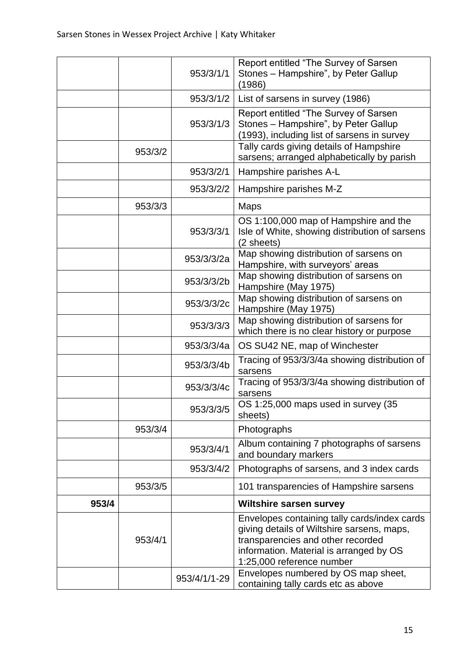|       |         | 953/3/1/1    | Report entitled "The Survey of Sarsen<br>Stones - Hampshire", by Peter Gallup<br>(1986)                                                                                                                 |
|-------|---------|--------------|---------------------------------------------------------------------------------------------------------------------------------------------------------------------------------------------------------|
|       |         | 953/3/1/2    | List of sarsens in survey (1986)                                                                                                                                                                        |
|       |         | 953/3/1/3    | Report entitled "The Survey of Sarsen<br>Stones - Hampshire", by Peter Gallup<br>(1993), including list of sarsens in survey                                                                            |
|       | 953/3/2 |              | Tally cards giving details of Hampshire<br>sarsens; arranged alphabetically by parish                                                                                                                   |
|       |         | 953/3/2/1    | Hampshire parishes A-L                                                                                                                                                                                  |
|       |         | 953/3/2/2    | Hampshire parishes M-Z                                                                                                                                                                                  |
|       | 953/3/3 |              | <b>Maps</b>                                                                                                                                                                                             |
|       |         | 953/3/3/1    | OS 1:100,000 map of Hampshire and the<br>Isle of White, showing distribution of sarsens<br>(2 sheets)                                                                                                   |
|       |         | 953/3/3/2a   | Map showing distribution of sarsens on<br>Hampshire, with surveyors' areas                                                                                                                              |
|       |         | 953/3/3/2b   | Map showing distribution of sarsens on<br>Hampshire (May 1975)                                                                                                                                          |
|       |         | 953/3/3/2c   | Map showing distribution of sarsens on<br>Hampshire (May 1975)                                                                                                                                          |
|       |         | 953/3/3/3    | Map showing distribution of sarsens for<br>which there is no clear history or purpose                                                                                                                   |
|       |         | 953/3/3/4a   | OS SU42 NE, map of Winchester                                                                                                                                                                           |
|       |         | 953/3/3/4b   | Tracing of 953/3/3/4a showing distribution of<br>sarsens                                                                                                                                                |
|       |         | 953/3/3/4c   | Tracing of 953/3/3/4a showing distribution of<br>sarsens                                                                                                                                                |
|       |         | 953/3/3/5    | OS 1:25,000 maps used in survey (35<br>sheets)                                                                                                                                                          |
|       | 953/3/4 |              | Photographs                                                                                                                                                                                             |
|       |         | 953/3/4/1    | Album containing 7 photographs of sarsens<br>and boundary markers                                                                                                                                       |
|       |         | 953/3/4/2    | Photographs of sarsens, and 3 index cards                                                                                                                                                               |
|       | 953/3/5 |              | 101 transparencies of Hampshire sarsens                                                                                                                                                                 |
| 953/4 |         |              | <b>Wiltshire sarsen survey</b>                                                                                                                                                                          |
|       | 953/4/1 |              | Envelopes containing tally cards/index cards<br>giving details of Wiltshire sarsens, maps,<br>transparencies and other recorded<br>information. Material is arranged by OS<br>1:25,000 reference number |
|       |         | 953/4/1/1-29 | Envelopes numbered by OS map sheet,<br>containing tally cards etc as above                                                                                                                              |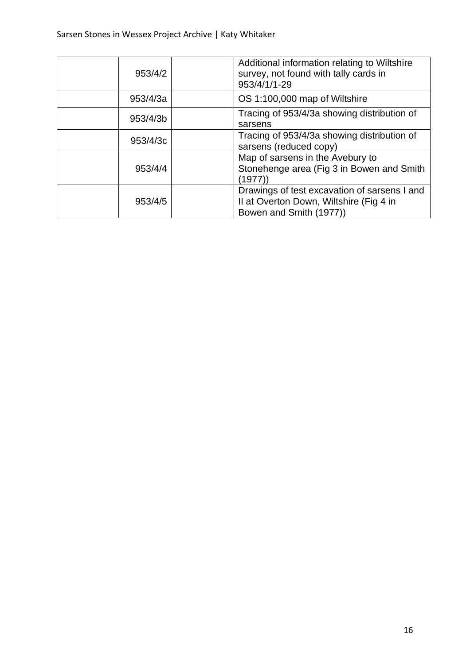| 953/4/2  | Additional information relating to Wiltshire<br>survey, not found with tally cards in<br>953/4/1/1-29              |
|----------|--------------------------------------------------------------------------------------------------------------------|
| 953/4/3a | OS 1:100,000 map of Wiltshire                                                                                      |
| 953/4/3b | Tracing of 953/4/3a showing distribution of<br>sarsens                                                             |
| 953/4/3c | Tracing of 953/4/3a showing distribution of<br>sarsens (reduced copy)                                              |
| 953/4/4  | Map of sarsens in the Avebury to<br>Stonehenge area (Fig 3 in Bowen and Smith<br>(1977)`                           |
| 953/4/5  | Drawings of test excavation of sarsens I and<br>II at Overton Down, Wiltshire (Fig 4 in<br>Bowen and Smith (1977)) |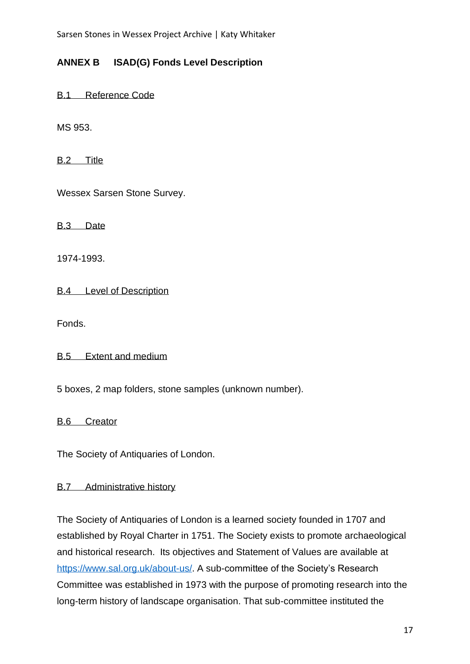## **ANNEX B ISAD(G) Fonds Level Description**

B.1 Reference Code

MS 953.

B.2 Title

Wessex Sarsen Stone Survey.

B.3 Date

1974-1993.

B.4 Level of Description

Fonds.

B.5 Extent and medium

5 boxes, 2 map folders, stone samples (unknown number).

B.6 Creator

The Society of Antiquaries of London.

#### B.7 Administrative history

The Society of Antiquaries of London is a learned society founded in 1707 and established by Royal Charter in 1751. The Society exists to promote archaeological and historical research. Its objectives and Statement of Values are available at [https://www.sal.org.uk/about-us/.](https://www.sal.org.uk/about-us/) A sub-committee of the Society's Research Committee was established in 1973 with the purpose of promoting research into the long-term history of landscape organisation. That sub-committee instituted the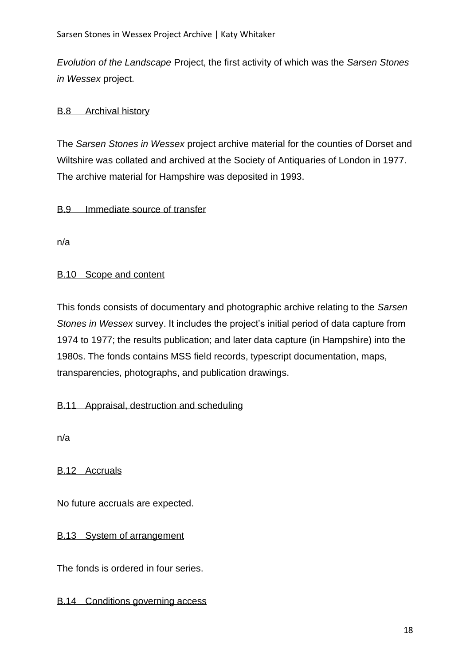*Evolution of the Landscape* Project, the first activity of which was the *Sarsen Stones in Wessex* project.

## B.8 Archival history

The *Sarsen Stones in Wessex* project archive material for the counties of Dorset and Wiltshire was collated and archived at the Society of Antiquaries of London in 1977. The archive material for Hampshire was deposited in 1993.

#### B.9 Immediate source of transfer

n/a

#### B.10 Scope and content

This fonds consists of documentary and photographic archive relating to the *Sarsen Stones in Wessex* survey. It includes the project's initial period of data capture from 1974 to 1977; the results publication; and later data capture (in Hampshire) into the 1980s. The fonds contains MSS field records, typescript documentation, maps, transparencies, photographs, and publication drawings.

#### B.11 Appraisal, destruction and scheduling

n/a

B.12 Accruals

No future accruals are expected.

## B.13 System of arrangement

The fonds is ordered in four series.

#### B.14 Conditions governing access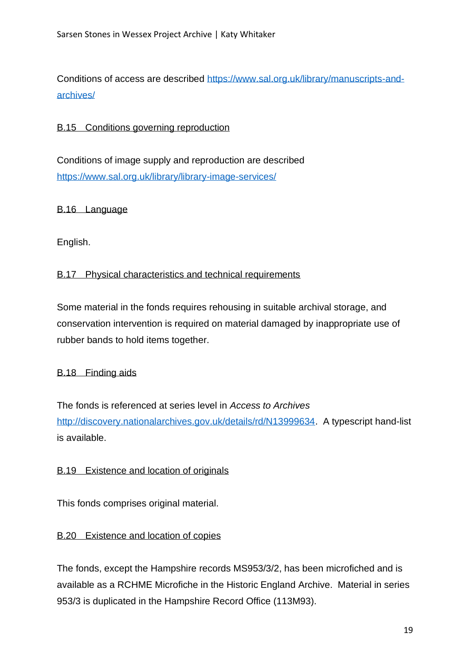Conditions of access are described [https://www.sal.org.uk/library/manuscripts-and](https://www.sal.org.uk/library/manuscripts-and-archives/)[archives/](https://www.sal.org.uk/library/manuscripts-and-archives/)

## B.15 Conditions governing reproduction

Conditions of image supply and reproduction are described <https://www.sal.org.uk/library/library-image-services/>

B.16 Language

English.

#### B.17 Physical characteristics and technical requirements

Some material in the fonds requires rehousing in suitable archival storage, and conservation intervention is required on material damaged by inappropriate use of rubber bands to hold items together.

#### B.18 Finding aids

The fonds is referenced at series level in *Access to Archives* [http://discovery.nationalarchives.gov.uk/details/rd/N13999634.](http://discovery.nationalarchives.gov.uk/details/rd/N13999634) A typescript hand-list is available.

## B.19 Existence and location of originals

This fonds comprises original material.

## B.20 Existence and location of copies

The fonds, except the Hampshire records MS953/3/2, has been microfiched and is available as a RCHME Microfiche in the Historic England Archive. Material in series 953/3 is duplicated in the Hampshire Record Office (113M93).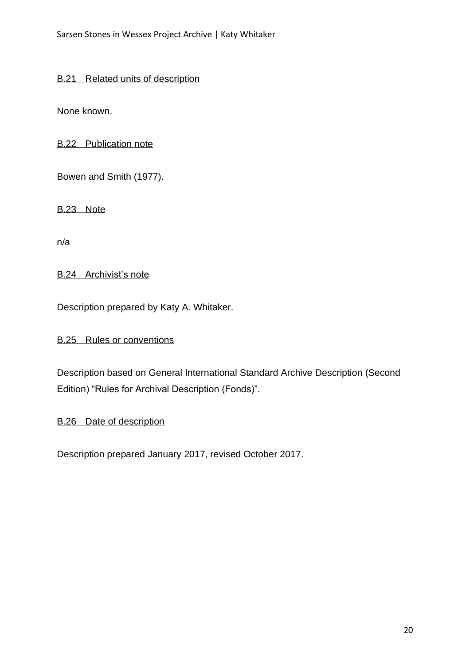#### B.21 Related units of description

None known.

B.22 Publication note

Bowen and Smith (1977).

B.23 Note

n/a

B.24 Archivist's note

Description prepared by Katy A. Whitaker.

B.25 Rules or conventions

Description based on General International Standard Archive Description (Second Edition) "Rules for Archival Description (Fonds)".

B.26 Date of description

Description prepared January 2017, revised October 2017.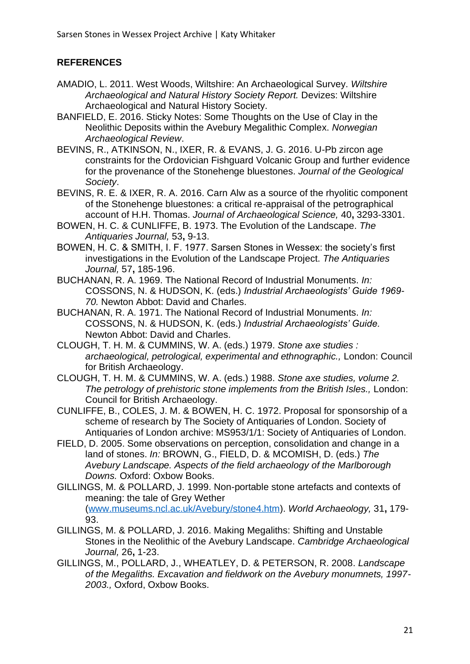## **REFERENCES**

- AMADIO, L. 2011. West Woods, Wiltshire: An Archaeological Survey. *Wiltshire Archaeological and Natural History Society Report.* Devizes: Wiltshire Archaeological and Natural History Society.
- BANFIELD, E. 2016. Sticky Notes: Some Thoughts on the Use of Clay in the Neolithic Deposits within the Avebury Megalithic Complex. *Norwegian Archaeological Review*.
- BEVINS, R., ATKINSON, N., IXER, R. & EVANS, J. G. 2016. U-Pb zircon age constraints for the Ordovician Fishguard Volcanic Group and further evidence for the provenance of the Stonehenge bluestones. *Journal of the Geological Society*.
- BEVINS, R. E. & IXER, R. A. 2016. Carn Alw as a source of the rhyolitic component of the Stonehenge bluestones: a critical re-appraisal of the petrographical account of H.H. Thomas. *Journal of Archaeological Science,* 40**,** 3293-3301.
- BOWEN, H. C. & CUNLIFFE, B. 1973. The Evolution of the Landscape. *The Antiquaries Journal,* 53**,** 9-13.
- BOWEN, H. C. & SMITH, I. F. 1977. Sarsen Stones in Wessex: the society's first investigations in the Evolution of the Landscape Project. *The Antiquaries Journal,* 57**,** 185-196.
- BUCHANAN, R. A. 1969. The National Record of Industrial Monuments. *In:* COSSONS, N. & HUDSON, K. (eds.) *Industrial Archaeologists' Guide 1969- 70.* Newton Abbot: David and Charles.
- BUCHANAN, R. A. 1971. The National Record of Industrial Monuments. *In:* COSSONS, N. & HUDSON, K. (eds.) *Industrial Archaeologists' Guide.* Newton Abbot: David and Charles.
- CLOUGH, T. H. M. & CUMMINS, W. A. (eds.) 1979. *Stone axe studies : archaeological, petrological, experimental and ethnographic.,* London: Council for British Archaeology.
- CLOUGH, T. H. M. & CUMMINS, W. A. (eds.) 1988. *Stone axe studies, volume 2. The petrology of prehistoric stone implements from the British Isles.,* London: Council for British Archaeology.
- CUNLIFFE, B., COLES, J. M. & BOWEN, H. C. 1972. Proposal for sponsorship of a scheme of research by The Society of Antiquaries of London. Society of Antiquaries of London archive: MS953/1/1: Society of Antiquaries of London.
- FIELD, D. 2005. Some observations on perception, consolidation and change in a land of stones. *In:* BROWN, G., FIELD, D. & MCOMISH, D. (eds.) *The Avebury Landscape. Aspects of the field archaeology of the Marlborough Downs.* Oxford: Oxbow Books.
- GILLINGS, M. & POLLARD, J. 1999. Non-portable stone artefacts and contexts of meaning: the tale of Grey Wether (www.museums.ncl.ac.uk/Avebury/stone4.htm). *World Archaeology,* 31**,** 179- 93.
- GILLINGS, M. & POLLARD, J. 2016. Making Megaliths: Shifting and Unstable Stones in the Neolithic of the Avebury Landscape. *Cambridge Archaeological Journal,* 26**,** 1-23.
- GILLINGS, M., POLLARD, J., WHEATLEY, D. & PETERSON, R. 2008. *Landscape of the Megaliths. Excavation and fieldwork on the Avebury monumnets, 1997- 2003.,* Oxford, Oxbow Books.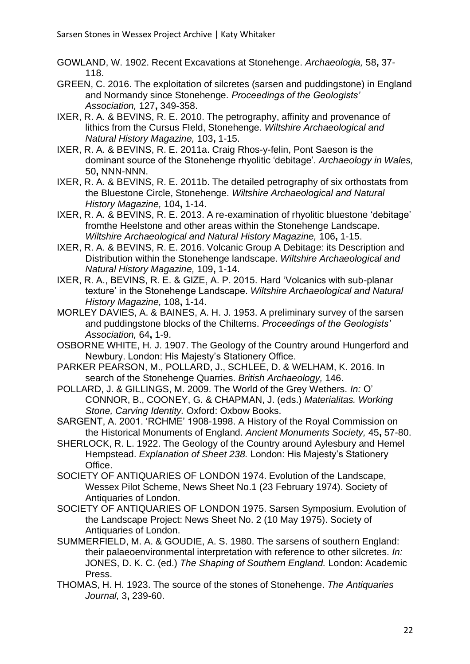- GOWLAND, W. 1902. Recent Excavations at Stonehenge. *Archaeologia,* 58**,** 37- 118.
- GREEN, C. 2016. The exploitation of silcretes (sarsen and puddingstone) in England and Normandy since Stonehenge. *Proceedings of the Geologists' Association,* 127**,** 349-358.
- IXER, R. A. & BEVINS, R. E. 2010. The petrography, affinity and provenance of lithics from the Cursus FIeld, Stonehenge. *Wiltshire Archaeological and Natural History Magazine,* 103**,** 1-15.
- IXER, R. A. & BEVINS, R. E. 2011a. Craig Rhos-y-felin, Pont Saeson is the dominant source of the Stonehenge rhyolitic 'debitage'. *Archaeology in Wales,* 50**,** NNN-NNN.
- IXER, R. A. & BEVINS, R. E. 2011b. The detailed petrography of six orthostats from the Bluestone Circle, Stonehenge. *Wiltshire Archaeological and Natural History Magazine,* 104**,** 1-14.
- IXER, R. A. & BEVINS, R. E. 2013. A re-examination of rhyolitic bluestone 'debitage' fromthe Heelstone and other areas within the Stonehenge Landscape. *Wiltshire Archaeological and Natural History Magazine,* 106**,** 1-15.
- IXER, R. A. & BEVINS, R. E. 2016. Volcanic Group A Debitage: its Description and Distribution within the Stonehenge landscape. *Wiltshire Archaeological and Natural History Magazine,* 109**,** 1-14.
- IXER, R. A., BEVINS, R. E. & GIZE, A. P. 2015. Hard 'Volcanics with sub-planar texture' in the Stonehenge Landscape. *Wiltshire Archaeological and Natural History Magazine,* 108**,** 1-14.
- MORLEY DAVIES, A. & BAINES, A. H. J. 1953. A preliminary survey of the sarsen and puddingstone blocks of the Chilterns. *Proceedings of the Geologists' Association,* 64**,** 1-9.
- OSBORNE WHITE, H. J. 1907. The Geology of the Country around Hungerford and Newbury. London: His Majesty's Stationery Office.
- PARKER PEARSON, M., POLLARD, J., SCHLEE, D. & WELHAM, K. 2016. In search of the Stonehenge Quarries. *British Archaeology,* 146.
- POLLARD, J. & GILLINGS, M. 2009. The World of the Grey Wethers. *In:* O' CONNOR, B., COONEY, G. & CHAPMAN, J. (eds.) *Materialitas. Working Stone, Carving Identity.* Oxford: Oxbow Books.
- SARGENT, A. 2001. 'RCHME' 1908-1998. A History of the Royal Commission on the Historical Monuments of England. *Ancient Monuments Society,* 45**,** 57-80.
- SHERLOCK, R. L. 1922. The Geology of the Country around Aylesbury and Hemel Hempstead. *Explanation of Sheet 238.* London: His Majesty's Stationery Office.
- SOCIETY OF ANTIQUARIES OF LONDON 1974. Evolution of the Landscape, Wessex Pilot Scheme, News Sheet No.1 (23 February 1974). Society of Antiquaries of London.
- SOCIETY OF ANTIQUARIES OF LONDON 1975. Sarsen Symposium. Evolution of the Landscape Project: News Sheet No. 2 (10 May 1975). Society of Antiquaries of London.
- SUMMERFIELD, M. A. & GOUDIE, A. S. 1980. The sarsens of southern England: their palaeoenvironmental interpretation with reference to other silcretes. *In:* JONES, D. K. C. (ed.) *The Shaping of Southern England.* London: Academic Press.
- THOMAS, H. H. 1923. The source of the stones of Stonehenge. *The Antiquaries Journal,* 3**,** 239-60.